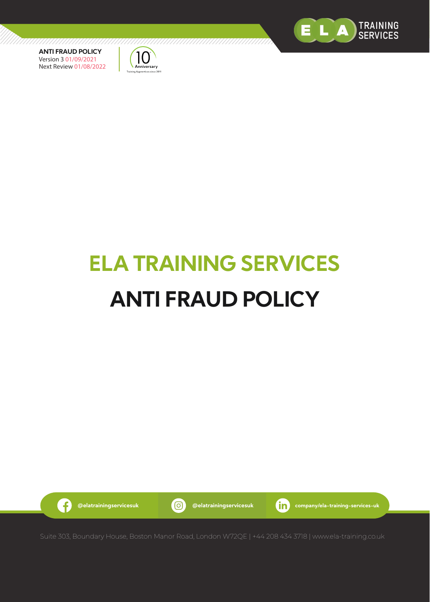



# **ELA TRAINING SERVICES ANTI FRAUD POLICY**



G

**@elatrainingservicesuk @elatrainingservicesuk company/ela-training-services-uk**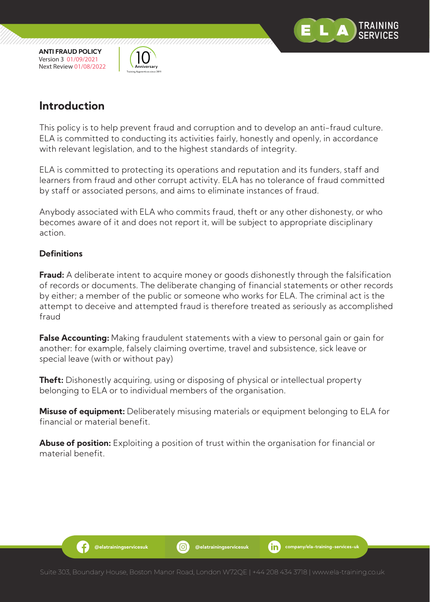



,,,,,,,,,,,,,,,,,,,,,,,

## **Introduction**

This policy is to help prevent fraud and corruption and to develop an anti-fraud culture. ELA is committed to conducting its activities fairly, honestly and openly, in accordance with relevant legislation, and to the highest standards of integrity.

ELA is committed to protecting its operations and reputation and its funders, staff and learners from fraud and other corrupt activity. ELA has no tolerance of fraud committed by staff or associated persons, and aims to eliminate instances of fraud.

Anybody associated with ELA who commits fraud, theft or any other dishonesty, or who becomes aware of it and does not report it, will be subject to appropriate disciplinary action.

#### **Definitions**

.G

**Fraud:** A deliberate intent to acquire money or goods dishonestly through the falsification of records or documents. The deliberate changing of financial statements or other records by either; a member of the public or someone who works for ELA. The criminal act is the attempt to deceive and attempted fraud is therefore treated as seriously as accomplished fraud

**False Accounting:** Making fraudulent statements with a view to personal gain or gain for another: for example, falsely claiming overtime, travel and subsistence, sick leave or special leave (with or without pay)

**Theft:** Dishonestly acquiring, using or disposing of physical or intellectual property belonging to ELA or to individual members of the organisation.

**Misuse of equipment:** Deliberately misusing materials or equipment belonging to ELA for financial or material benefit.

**Abuse of position:** Exploiting a position of trust within the organisation for financial or material benefit.

**@elatrainingservicesuk @elatrainingservicesuk company/ela-training-services-uk**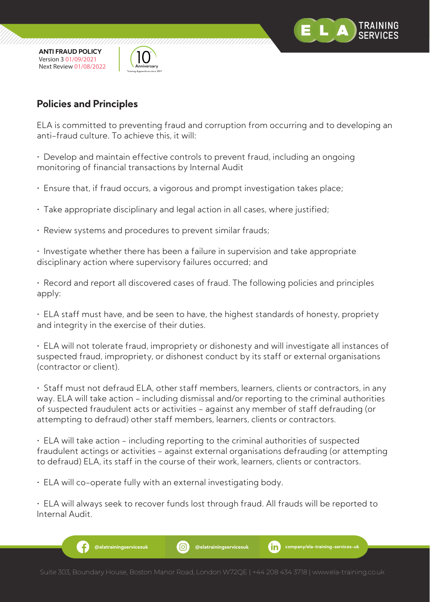

77777777777777777777



77777777777777

#### **Policies and Principles**

ELA is committed to preventing fraud and corruption from occurring and to developing an anti-fraud culture. To achieve this, it will:

• Develop and maintain effective controls to prevent fraud, including an ongoing monitoring of financial transactions by Internal Audit

- Ensure that, if fraud occurs, a vigorous and prompt investigation takes place;
- Take appropriate disciplinary and legal action in all cases, where justified;
- Review systems and procedures to prevent similar frauds;

• Investigate whether there has been a failure in supervision and take appropriate disciplinary action where supervisory failures occurred; and

• Record and report all discovered cases of fraud. The following policies and principles apply:

• ELA staff must have, and be seen to have, the highest standards of honesty, propriety and integrity in the exercise of their duties.

• ELA will not tolerate fraud, impropriety or dishonesty and will investigate all instances of suspected fraud, impropriety, or dishonest conduct by its staff or external organisations (contractor or client).

• Staff must not defraud ELA, other staff members, learners, clients or contractors, in any way. ELA will take action - including dismissal and/or reporting to the criminal authorities of suspected fraudulent acts or activities - against any member of staff defrauding (or attempting to defraud) other staff members, learners, clients or contractors.

• ELA will take action - including reporting to the criminal authorities of suspected fraudulent actings or activities - against external organisations defrauding (or attempting to defraud) ELA, its staff in the course of their work, learners, clients or contractors.

• ELA will co-operate fully with an external investigating body.

• ELA will always seek to recover funds lost through fraud. All frauds will be reported to Internal Audit.

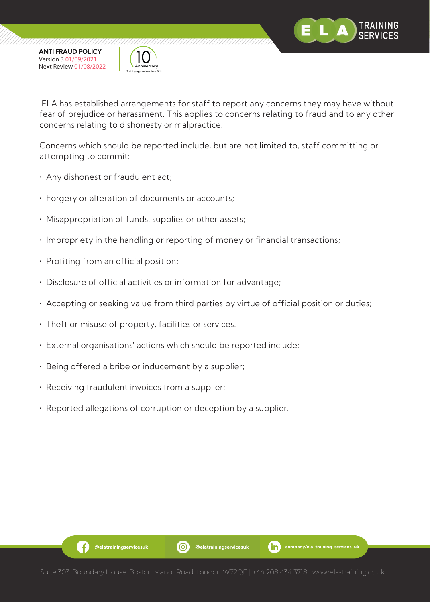

,,,,,,,,,,,,,,,,,,,,,,





ELA has established arrangements for staff to report any concerns they may have without fear of prejudice or harassment. This applies to concerns relating to fraud and to any other concerns relating to dishonesty or malpractice.

Concerns which should be reported include, but are not limited to, staff committing or attempting to commit:

- Any dishonest or fraudulent act;
- Forgery or alteration of documents or accounts;
- Misappropriation of funds, supplies or other assets;
- Impropriety in the handling or reporting of money or financial transactions;
- Profiting from an official position;
- Disclosure of official activities or information for advantage;
- Accepting or seeking value from third parties by virtue of official position or duties;
- Theft or misuse of property, facilities or services.
- External organisations' actions which should be reported include:
- Being offered a bribe or inducement by a supplier;
- Receiving fraudulent invoices from a supplier;

G)

• Reported allegations of corruption or deception by a supplier.

**@elatrainingservicesuk @elatrainingservicesuk company/ela-training-services-uk**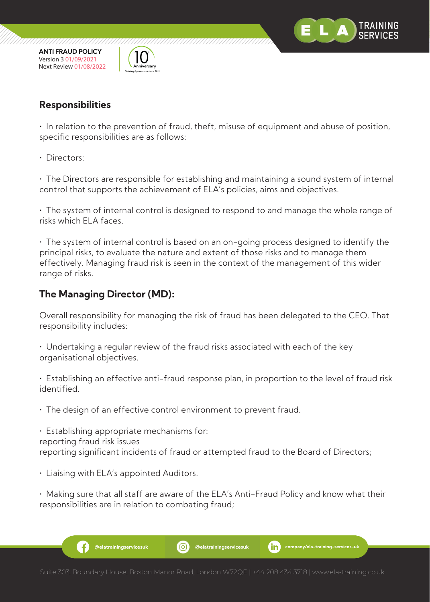

77777777777777777777



7777777777777

#### **Responsibilities**

• In relation to the prevention of fraud, theft, misuse of equipment and abuse of position, specific responsibilities are as follows:

• Directors:

• The Directors are responsible for establishing and maintaining a sound system of internal control that supports the achievement of ELA's policies, aims and objectives.

• The system of internal control is designed to respond to and manage the whole range of risks which ELA faces.

• The system of internal control is based on an on-going process designed to identify the principal risks, to evaluate the nature and extent of those risks and to manage them effectively. Managing fraud risk is seen in the context of the management of this wider range of risks.

#### **The Managing Director (MD):**

Overall responsibility for managing the risk of fraud has been delegated to the CEO. That responsibility includes:

• Undertaking a regular review of the fraud risks associated with each of the key organisational objectives.

• Establishing an effective anti-fraud response plan, in proportion to the level of fraud risk identified.

• The design of an effective control environment to prevent fraud.

• Establishing appropriate mechanisms for: reporting fraud risk issues reporting significant incidents of fraud or attempted fraud to the Board of Directors;

• Liaising with ELA's appointed Auditors.

• Making sure that all staff are aware of the ELA's Anti-Fraud Policy and know what their responsibilities are in relation to combating fraud;

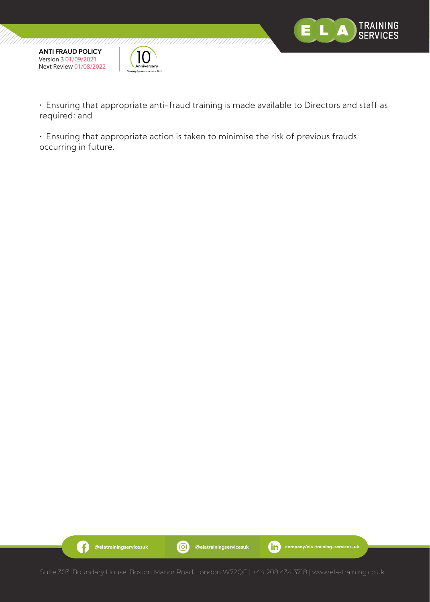



• Ensuring that appropriate anti-fraud training is made available to Directors and staff as required; and

• Ensuring that appropriate action is taken to minimise the risk of previous frauds occurring in future.

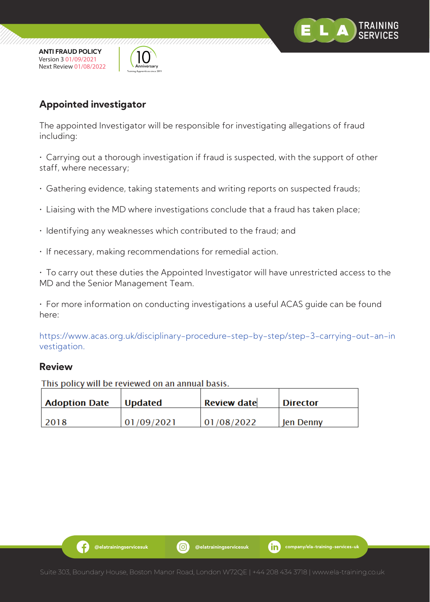



### **Appointed investigator**

The appointed Investigator will be responsible for investigating allegations of fraud including:

• Carrying out a thorough investigation if fraud is suspected, with the support of other staff, where necessary;

- Gathering evidence, taking statements and writing reports on suspected frauds;
- Liaising with the MD where investigations conclude that a fraud has taken place;
- Identifying any weaknesses which contributed to the fraud; and
- If necessary, making recommendations for remedial action.

• To carry out these duties the Appointed Investigator will have unrestricted access to the MD and the Senior Management Team.

• For more information on conducting investigations a useful ACAS guide can be found here:

https://www.acas.org.uk/disciplinary-procedure-step-by-step/step-3-carrying-out-an-in vestigation.

#### **Review**

This policy will be reviewed on an annual basis.

| <b>Adoption Date</b> | <b>Updated</b> | <b>Review date</b> | <b>Director</b>  |
|----------------------|----------------|--------------------|------------------|
| 2018                 | 01/09/2021     | 01/08/2022         | <b>Jen Denny</b> |